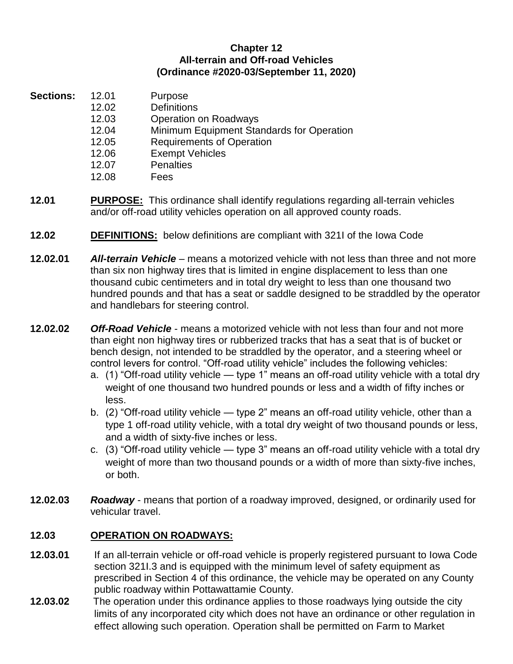## **Chapter 12 All-terrain and Off-road Vehicles (Ordinance #2020-03/September 11, 2020)**

- **Sections:** 12.01 Purpose
	- 12.02 Definitions
		- 12.03 Operation on Roadways
		- 12.04 Minimum Equipment Standards for Operation
		- 12.05 Requirements of Operation
		- 12.06 Exempt Vehicles
		- 12.07 Penalties
	- 12.08 Fees
- **12.01 PURPOSE:** This ordinance shall identify regulations regarding all-terrain vehicles and/or off-road utility vehicles operation on all approved county roads.
- **12.02 DEFINITIONS:** below definitions are compliant with 321I of the Iowa Code
- **12.02.01** *All-terrain Vehicle* means a motorized vehicle with not less than three and not more than six non highway tires that is limited in engine displacement to less than one thousand cubic centimeters and in total dry weight to less than one thousand two hundred pounds and that has a seat or saddle designed to be straddled by the operator and handlebars for steering control.
- **12.02.02** *Off-Road Vehicle* means a motorized vehicle with not less than four and not more than eight non highway tires or rubberized tracks that has a seat that is of bucket or bench design, not intended to be straddled by the operator, and a steering wheel or control levers for control. "Off-road utility vehicle" includes the following vehicles:
	- a. (1) "Off-road utility vehicle type 1" means an off-road utility vehicle with a total dry weight of one thousand two hundred pounds or less and a width of fifty inches or less.
	- b. (2) "Off-road utility vehicle type 2" means an off-road utility vehicle, other than a type 1 off-road utility vehicle, with a total dry weight of two thousand pounds or less, and a width of sixty-five inches or less.
	- c. (3) "Off-road utility vehicle type 3" means an off-road utility vehicle with a total dry weight of more than two thousand pounds or a width of more than sixty-five inches, or both.
- **12.02.03** *Roadway* means that portion of a roadway improved, designed, or ordinarily used for vehicular travel.

## **12.03 OPERATION ON ROADWAYS:**

- **12.03.01** If an all-terrain vehicle or off-road vehicle is properly registered pursuant to Iowa Code section 321I.3 and is equipped with the minimum level of safety equipment as prescribed in Section 4 of this ordinance, the vehicle may be operated on any County public roadway within Pottawattamie County.
- **12.03.02** The operation under this ordinance applies to those roadways lying outside the city limits of any incorporated city which does not have an ordinance or other regulation in effect allowing such operation. Operation shall be permitted on Farm to Market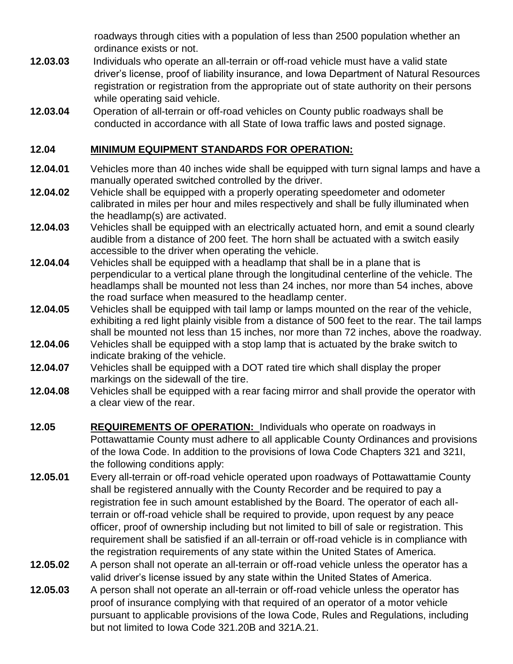roadways through cities with a population of less than 2500 population whether an ordinance exists or not.

- **12.03.03** Individuals who operate an all-terrain or off-road vehicle must have a valid state driver's license, proof of liability insurance, and Iowa Department of Natural Resources registration or registration from the appropriate out of state authority on their persons while operating said vehicle.
- **12.03.04** Operation of all-terrain or off-road vehicles on County public roadways shall be conducted in accordance with all State of Iowa traffic laws and posted signage.

## **12.04 MINIMUM EQUIPMENT STANDARDS FOR OPERATION:**

- **12.04.01** Vehicles more than 40 inches wide shall be equipped with turn signal lamps and have a manually operated switched controlled by the driver.
- **12.04.02** Vehicle shall be equipped with a properly operating speedometer and odometer calibrated in miles per hour and miles respectively and shall be fully illuminated when the headlamp(s) are activated.
- **12.04.03** Vehicles shall be equipped with an electrically actuated horn, and emit a sound clearly audible from a distance of 200 feet. The horn shall be actuated with a switch easily accessible to the driver when operating the vehicle.
- **12.04.04** Vehicles shall be equipped with a headlamp that shall be in a plane that is perpendicular to a vertical plane through the longitudinal centerline of the vehicle. The headlamps shall be mounted not less than 24 inches, nor more than 54 inches, above the road surface when measured to the headlamp center.
- **12.04.05** Vehicles shall be equipped with tail lamp or lamps mounted on the rear of the vehicle, exhibiting a red light plainly visible from a distance of 500 feet to the rear. The tail lamps shall be mounted not less than 15 inches, nor more than 72 inches, above the roadway.
- **12.04.06** Vehicles shall be equipped with a stop lamp that is actuated by the brake switch to indicate braking of the vehicle.
- **12.04.07** Vehicles shall be equipped with a DOT rated tire which shall display the proper markings on the sidewall of the tire.
- **12.04.08** Vehicles shall be equipped with a rear facing mirror and shall provide the operator with a clear view of the rear.
- **12.05 REQUIREMENTS OF OPERATION:** Individuals who operate on roadways in Pottawattamie County must adhere to all applicable County Ordinances and provisions of the Iowa Code. In addition to the provisions of Iowa Code Chapters 321 and 321I, the following conditions apply:
- **12.05.01** Every all-terrain or off-road vehicle operated upon roadways of Pottawattamie County shall be registered annually with the County Recorder and be required to pay a registration fee in such amount established by the Board. The operator of each allterrain or off-road vehicle shall be required to provide, upon request by any peace officer, proof of ownership including but not limited to bill of sale or registration. This requirement shall be satisfied if an all-terrain or off-road vehicle is in compliance with the registration requirements of any state within the United States of America.
- **12.05.02** A person shall not operate an all-terrain or off-road vehicle unless the operator has a valid driver's license issued by any state within the United States of America.
- **12.05.03** A person shall not operate an all-terrain or off-road vehicle unless the operator has proof of insurance complying with that required of an operator of a motor vehicle pursuant to applicable provisions of the Iowa Code, Rules and Regulations, including but not limited to Iowa Code 321.20B and 321A.21.